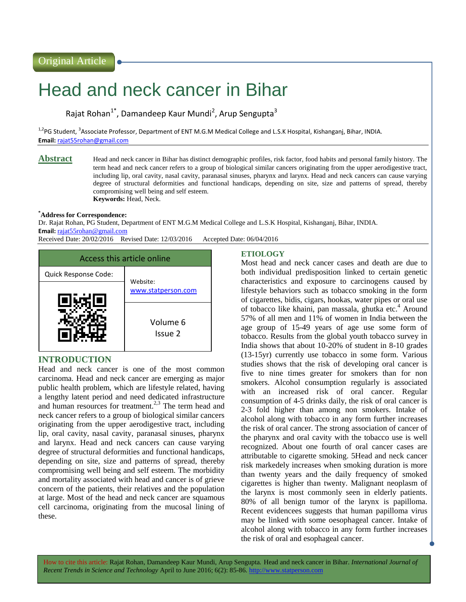# Head and neck cancer in Bihar

Rajat Rohan<sup>1\*</sup>, Damandeep Kaur Mundi<sup>2</sup>, Arup Sengupta<sup>3</sup>

<sup>1,2</sup>PG Student, <sup>3</sup>Associate Professor, Department of ENT M.G.M Medical College and L.S.K Hospital, Kishanganj, Bihar, INDIA. **Email:** <rajat55rohan@gmail.com>

**Abstract** Head and neck cancer in Bihar has distinct demographic profiles, risk factor, food habits and personal family history. The term head and neck cancer refers to a group of biological similar cancers originating from the upper aerodigestive tract, including lip, oral cavity, nasal cavity, paranasal sinuses, pharynx and larynx. Head and neck cancers can cause varying degree of structural deformities and functional handicaps, depending on site, size and patterns of spread, thereby compromising well being and self esteem. **Keywords:** Head, Neck.

#### **\*Address for Correspondence:**

Dr. Rajat Rohan, PG Student, Department of ENT M.G.M Medical College and L.S.K Hospital, Kishanganj, Bihar, INDIA. **Email:** <rajat55rohan@gmail.com>

Received Date: 20/02/2016 Revised Date: 12/03/2016 Accepted Date: 06/04/2016



#### **INTRODUCTION**

Head and neck cancer is one of the most common carcinoma. Head and neck cancer are emerging as major public health problem, which are lifestyle related, having a lengthy latent period and need dedicated infrastructure and human resources for treatment.<sup>2,3</sup> The term head and neck cancer refers to a group of biological similar cancers originating from the upper aerodigestive tract, including lip, oral cavity, nasal cavity, paranasal sinuses, pharynx and larynx. Head and neck cancers can cause varying degree of structural deformities and functional handicaps, depending on site, size and patterns of spread, thereby compromising well being and self esteem. The morbidity and mortality associated with head and cancer is of grieve concern of the patients, their relatives and the population at large. Most of the head and neck cancer are squamous cell carcinoma, originating from the mucosal lining of these.

# **ETIOLOGY**

Most head and neck cancer cases and death are due to both individual predisposition linked to certain genetic characteristics and exposure to carcinogens caused by lifestyle behaviors such as tobacco smoking in the form of cigarettes, bidis, cigars, hookas, water pipes or oral use of tobacco like khaini, pan massala, ghutka etc.<sup>4</sup> Around 57% of all men and 11% of women in India between the age group of 15-49 years of age use some form of tobacco. Results from the global youth tobacco survey in India shows that about 10-20% of student in 8-10 grades (13-15yr) currently use tobacco in some form. Various studies shows that the risk of developing oral cancer is five to nine times greater for smokers than for non smokers. Alcohol consumption regularly is associated with an increased risk of oral cancer. Regular consumption of 4-5 drinks daily, the risk of oral cancer is 2-3 fold higher than among non smokers. Intake of alcohol along with tobacco in any form further increases the risk of oral cancer. The strong association of cancer of the pharynx and oral cavity with the tobacco use is well recognized. About one fourth of oral cancer cases are attributable to cigarette smoking. 5Head and neck cancer risk markedely increases when smoking duration is more than twenty years and the daily frequency of smoked cigarettes is higher than twenty. Malignant neoplasm of the larynx is most commonly seen in elderly patients. 80% of all benign tumor of the larynx is papilloma. Recent evidencees suggests that human papilloma virus may be linked with some oesophageal cancer. Intake of alcohol along with tobacco in any form further increases the risk of oral and esophageal cancer.